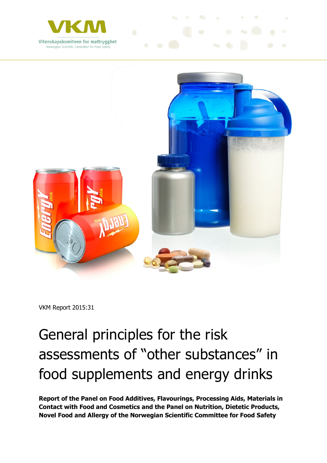



VKM Report 2015:31

# General principles for the risk assessments of "other substances" in food supplements and energy drinks

**Report of the Panel on Food Additives, Flavourings, Processing Aids, Materials in Contact with Food and Cosmetics and the Panel on Nutrition, Dietetic Products, Novel Food and Allergy of the Norwegian Scientific Committee for Food Safety**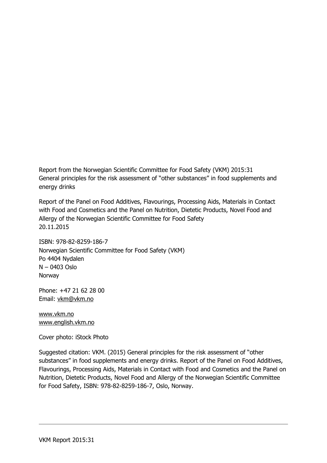Report from the Norwegian Scientific Committee for Food Safety (VKM) 2015:31 General principles for the risk assessment of "other substances" in food supplements and energy drinks

Report of the Panel on Food Additives, Flavourings, Processing Aids, Materials in Contact with Food and Cosmetics and the Panel on Nutrition, Dietetic Products, Novel Food and Allergy of the Norwegian Scientific Committee for Food Safety 20.11.2015

ISBN: 978-82-8259-186-7 Norwegian Scientific Committee for Food Safety (VKM) Po 4404 Nydalen N – 0403 Oslo Norway

Phone: +47 21 62 28 00 Email: [vkm@vkm.no](mailto:vkm@vkm.no)

[www.vkm.no](http://www.vkm.no/) [www.english.vkm.no](http://www.english.vkm.no/)

Cover photo: iStock Photo

Suggested citation: VKM. (2015) General principles for the risk assessment of "other substances" in food supplements and energy drinks. Report of the Panel on Food Additives, Flavourings, Processing Aids, Materials in Contact with Food and Cosmetics and the Panel on Nutrition, Dietetic Products, Novel Food and Allergy of the Norwegian Scientific Committee for Food Safety, ISBN: 978-82-8259-186-7, Oslo, Norway.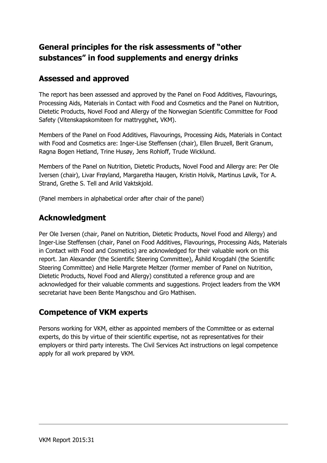## **General principles for the risk assessments of "other substances" in food supplements and energy drinks**

## **Assessed and approved**

The report has been assessed and approved by the Panel on Food Additives, Flavourings, Processing Aids, Materials in Contact with Food and Cosmetics and the Panel on Nutrition, Dietetic Products, Novel Food and Allergy of the Norwegian Scientific Committee for Food Safety (Vitenskapskomiteen for mattrygghet, VKM).

Members of the Panel on Food Additives, Flavourings, Processing Aids, Materials in Contact with Food and Cosmetics are: Inger-Lise Steffensen (chair), Ellen Bruzell, Berit Granum, Ragna Bogen Hetland, Trine Husøy, Jens Rohloff, Trude Wicklund.

Members of the Panel on Nutrition, Dietetic Products, Novel Food and Allergy are: Per Ole Iversen (chair), Livar Frøyland, Margaretha Haugen, Kristin Holvik, Martinus Løvik, Tor A. Strand, Grethe S. Tell and Arild Vaktskjold.

(Panel members in alphabetical order after chair of the panel)

## **Acknowledgment**

Per Ole Iversen (chair, Panel on Nutrition, Dietetic Products, Novel Food and Allergy) and Inger-Lise Steffensen (chair, Panel on Food Additives, Flavourings, Processing Aids, Materials in Contact with Food and Cosmetics) are acknowledged for their valuable work on this report. Jan Alexander (the Scientific Steering Committee), Åshild Krogdahl (the Scientific Steering Committee) and Helle Margrete Meltzer (former member of Panel on Nutrition, Dietetic Products, Novel Food and Allergy) constituted a reference group and are acknowledged for their valuable comments and suggestions. Project leaders from the VKM secretariat have been Bente Mangschou and Gro Mathisen.

## **Competence of VKM experts**

Persons working for VKM, either as appointed members of the Committee or as external experts, do this by virtue of their scientific expertise, not as representatives for their employers or third party interests. The Civil Services Act instructions on legal competence apply for all work prepared by VKM.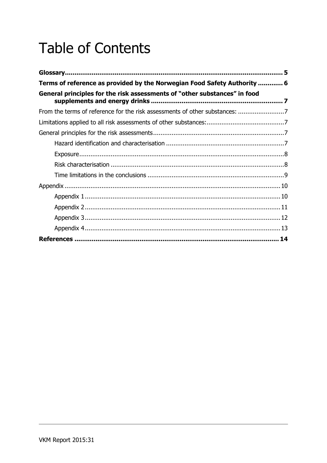## **Table of Contents**

| Terms of reference as provided by the Norwegian Food Safety Authority  6  |  |
|---------------------------------------------------------------------------|--|
| General principles for the risk assessments of "other substances" in food |  |
|                                                                           |  |
|                                                                           |  |
|                                                                           |  |
|                                                                           |  |
|                                                                           |  |
|                                                                           |  |
|                                                                           |  |
|                                                                           |  |
|                                                                           |  |
|                                                                           |  |
|                                                                           |  |
|                                                                           |  |
|                                                                           |  |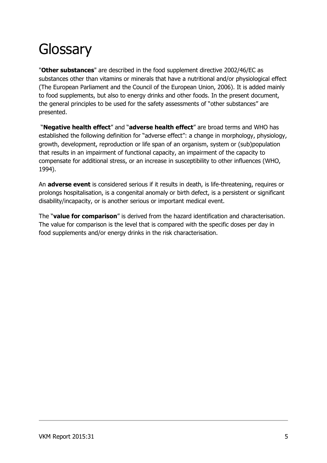## <span id="page-4-0"></span>**Glossary**

"**Other substances**" are described in the food supplement directive 2002/46/EC as substances other than vitamins or minerals that have a nutritional and/or physiological effect (The European Parliament and the Council of the European Union, 2006). It is added mainly to food supplements, but also to energy drinks and other foods. In the present document, the general principles to be used for the safety assessments of "other substances" are presented.

"**Negative health effect**" and "**adverse health effect**" are broad terms and WHO has established the following definition for "adverse effect": a change in morphology, physiology, growth, development, reproduction or life span of an organism, system or (sub)population that results in an impairment of functional capacity, an impairment of the capacity to compensate for additional stress, or an increase in susceptibility to other influences (WHO, 1994).

An **adverse event** is considered serious if it results in death, is life-threatening, requires or prolongs hospitalisation, is a congenital anomaly or birth defect, is a persistent or significant disability/incapacity, or is another serious or important medical event.

The "**value for comparison**" is derived from the hazard identification and characterisation. The value for comparison is the level that is compared with the specific doses per day in food supplements and/or energy drinks in the risk characterisation.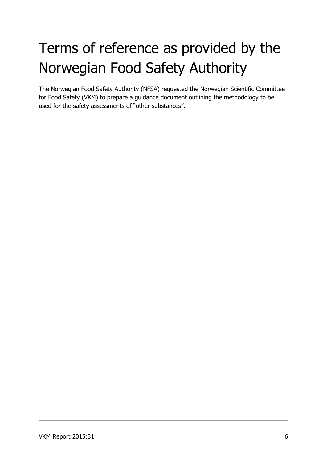# <span id="page-5-0"></span>Terms of reference as provided by the Norwegian Food Safety Authority

The Norwegian Food Safety Authority (NFSA) requested the Norwegian Scientific Committee for Food Safety (VKM) to prepare a guidance document outlining the methodology to be used for the safety assessments of "other substances".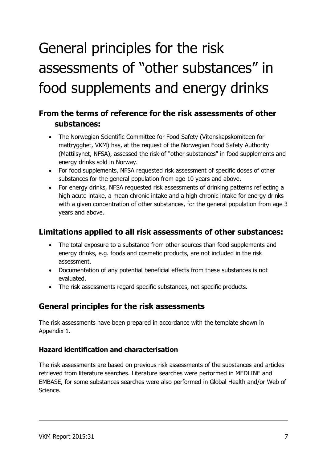# <span id="page-6-0"></span>General principles for the risk assessments of "other substances" in food supplements and energy drinks

## <span id="page-6-1"></span>**From the terms of reference for the risk assessments of other substances:**

- The Norwegian Scientific Committee for Food Safety (Vitenskapskomiteen for mattrygghet, VKM) has, at the request of the Norwegian Food Safety Authority (Mattilsynet, NFSA), assessed the risk of "other substances" in food supplements and energy drinks sold in Norway.
- For food supplements, NFSA requested risk assessment of specific doses of other substances for the general population from age 10 years and above.
- For energy drinks, NFSA requested risk assessments of drinking patterns reflecting a high acute intake, a mean chronic intake and a high chronic intake for energy drinks with a given concentration of other substances, for the general population from age 3 years and above.

## <span id="page-6-2"></span>**Limitations applied to all risk assessments of other substances:**

- The total exposure to a substance from other sources than food supplements and energy drinks, e.g. foods and cosmetic products, are not included in the risk assessment.
- Documentation of any potential beneficial effects from these substances is not evaluated.
- The risk assessments regard specific substances, not specific products.

## <span id="page-6-3"></span>**General principles for the risk assessments**

The risk assessments have been prepared in accordance with the template shown in Appendix 1.

#### <span id="page-6-4"></span>**Hazard identification and characterisation**

The risk assessments are based on previous risk assessments of the substances and articles retrieved from literature searches. Literature searches were performed in MEDLINE and EMBASE, for some substances searches were also performed in Global Health and/or Web of Science.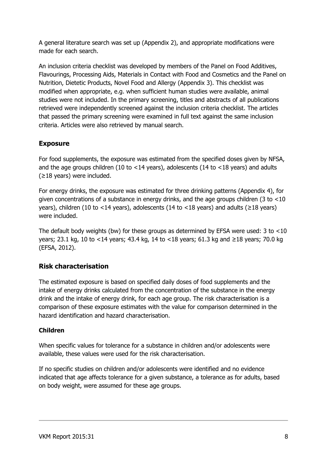A general literature search was set up (Appendix 2), and appropriate modifications were made for each search.

An inclusion criteria checklist was developed by members of the Panel on Food Additives, Flavourings, Processing Aids, Materials in Contact with Food and Cosmetics and the Panel on Nutrition, Dietetic Products, Novel Food and Allergy (Appendix 3). This checklist was modified when appropriate, e.g. when sufficient human studies were available, animal studies were not included. In the primary screening, titles and abstracts of all publications retrieved were independently screened against the inclusion criteria checklist. The articles that passed the primary screening were examined in full text against the same inclusion criteria. Articles were also retrieved by manual search.

#### <span id="page-7-0"></span>**Exposure**

For food supplements, the exposure was estimated from the specified doses given by NFSA, and the age groups children (10 to <14 years), adolescents (14 to <18 years) and adults  $(≥18$  years) were included.

For energy drinks, the exposure was estimated for three drinking patterns (Appendix 4), for given concentrations of a substance in energy drinks, and the age groups children (3 to ˂10 years), children (10 to <14 years), adolescents (14 to <18 years) and adults ( $\geq$ 18 years) were included.

The default body weights (bw) for these groups as determined by EFSA were used: 3 to ˂10 years; 23.1 kg, 10 to ˂14 years; 43.4 kg, 14 to ˂18 years; 61.3 kg and ≥18 years; 70.0 kg (EFSA, 2012).

#### <span id="page-7-1"></span>**Risk characterisation**

The estimated exposure is based on specified daily doses of food supplements and the intake of energy drinks calculated from the concentration of the substance in the energy drink and the intake of energy drink, for each age group. The risk characterisation is a comparison of these exposure estimates with the value for comparison determined in the hazard identification and hazard characterisation.

#### **Children**

When specific values for tolerance for a substance in children and/or adolescents were available, these values were used for the risk characterisation.

If no specific studies on children and/or adolescents were identified and no evidence indicated that age affects tolerance for a given substance, a tolerance as for adults, based on body weight, were assumed for these age groups.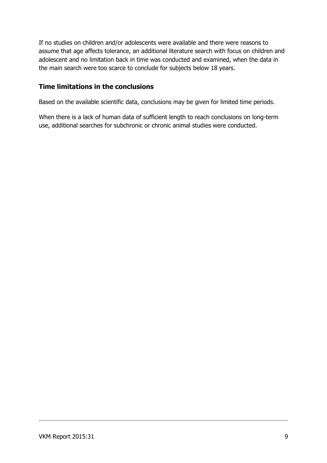If no studies on children and/or adolescents were available and there were reasons to assume that age affects tolerance, an additional literature search with focus on children and adolescent and no limitation back in time was conducted and examined, when the data in the main search were too scarce to conclude for subjects below 18 years.

#### <span id="page-8-0"></span>**Time limitations in the conclusions**

Based on the available scientific data, conclusions may be given for limited time periods.

When there is a lack of human data of sufficient length to reach conclusions on long-term use, additional searches for subchronic or chronic animal studies were conducted.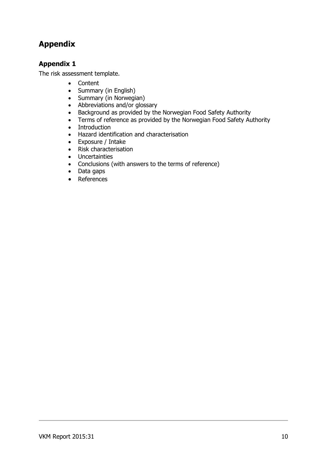#### <span id="page-9-1"></span><span id="page-9-0"></span>**Appendix 1**

The risk assessment template.

- Content
- Summary (in English)
- Summary (in Norwegian)
- Abbreviations and/or glossary
- Background as provided by the Norwegian Food Safety Authority
- Terms of reference as provided by the Norwegian Food Safety Authority
- Introduction
- Hazard identification and characterisation
- Exposure / Intake
- Risk characterisation
- Uncertainties
- Conclusions (with answers to the terms of reference)
- Data gaps
- References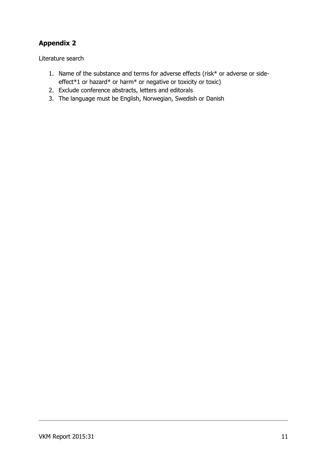<span id="page-10-0"></span>Literature search

- 1. Name of the substance and terms for adverse effects (risk\* or adverse or sideeffect\*1 or hazard\* or harm\* or negative or toxicity or toxic)
- 2. Exclude conference abstracts, letters and editorals
- 3. The language must be English, Norwegian, Swedish or Danish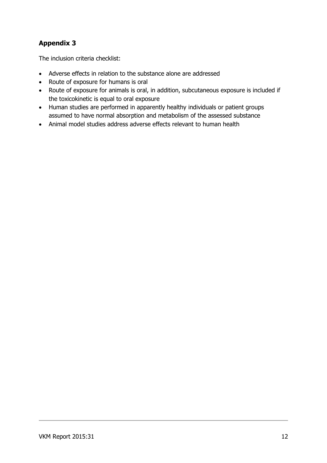<span id="page-11-0"></span>The inclusion criteria checklist:

- Adverse effects in relation to the substance alone are addressed
- Route of exposure for humans is oral
- Route of exposure for animals is oral, in addition, subcutaneous exposure is included if the toxicokinetic is equal to oral exposure
- Human studies are performed in apparently healthy individuals or patient groups assumed to have normal absorption and metabolism of the assessed substance
- Animal model studies address adverse effects relevant to human health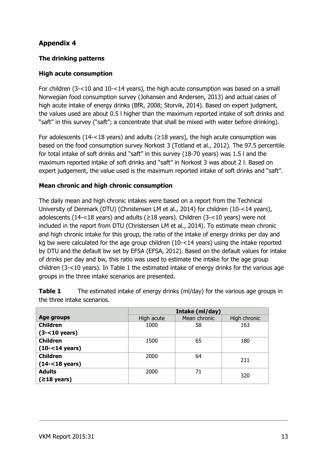#### <span id="page-12-0"></span>**The drinking patterns**

#### **High acute consumption**

For children (3-<10 and 10-<14 years), the high acute consumption was based on a small Norwegian food consumption survey (Johansen and Andersen, 2013) and actual cases of high acute intake of energy drinks (BfR, 2008; Storvik, 2014). Based on expert judgment, the values used are about 0.5 l higher than the maximum reported intake of soft drinks and "saft" in this survey ("saft"; a concentrate that shall be mixed with water before drinking).

For adolescents (14-<18 years) and adults ( $\geq$ 18 years), the high acute consumption was based on the food consumption survey Norkost 3 (Totland et al., 2012). The 97.5 percentile for total intake of soft drinks and "saft" in this survey (18-70 years) was 1.5 l and the maximum reported intake of soft drinks and "saft" in Norkost 3 was about 2 l. Based on expert judgement, the value used is the maximum reported intake of soft drinks and "saft".

#### **Mean chronic and high chronic consumption**

The daily mean and high chronic intakes were based on a report from the Technical University of Denmark (DTU) (Christensen LM et al., 2014) for children (10-<14 years), adolescents (14-<18 years) and adults (≥18 years). Children (3-<10 years) were not included in the report from DTU (Christensen LM et al., 2014). To estimate mean chronic and high chronic intake for this group, the ratio of the intake of energy drinks per day and kg bw were calculated for the age group children (10-<14 years) using the intake reported by DTU and the default bw set by EFSA (EFSA, 2012). Based on the default values for intake of drinks per day and bw, this ratio was used to estimate the intake for the age group children (3-<10 years). In Table 1 the estimated intake of energy drinks for the various age groups in the three intake scenarios are presented.

|                           | Intake (ml/day) |              |              |
|---------------------------|-----------------|--------------|--------------|
| Age groups                | High acute      | Mean chronic | High chronic |
| <b>Children</b>           | 1000            | 58           | 163          |
| $(3 - 10$ years)          |                 |              |              |
| <b>Children</b>           | 1500            | 65           | 180          |
| $(10 - 14 \text{ years})$ |                 |              |              |
| <b>Children</b>           | 2000            | 64           | 211          |
| $(14 - 18 \text{ years})$ |                 |              |              |
| <b>Adults</b>             | 2000            | 71           |              |
| $(≥18 \text{ years})$     |                 |              | 320          |

**Table 1** The estimated intake of energy drinks (ml/day) for the various age groups in the three intake scenarios.